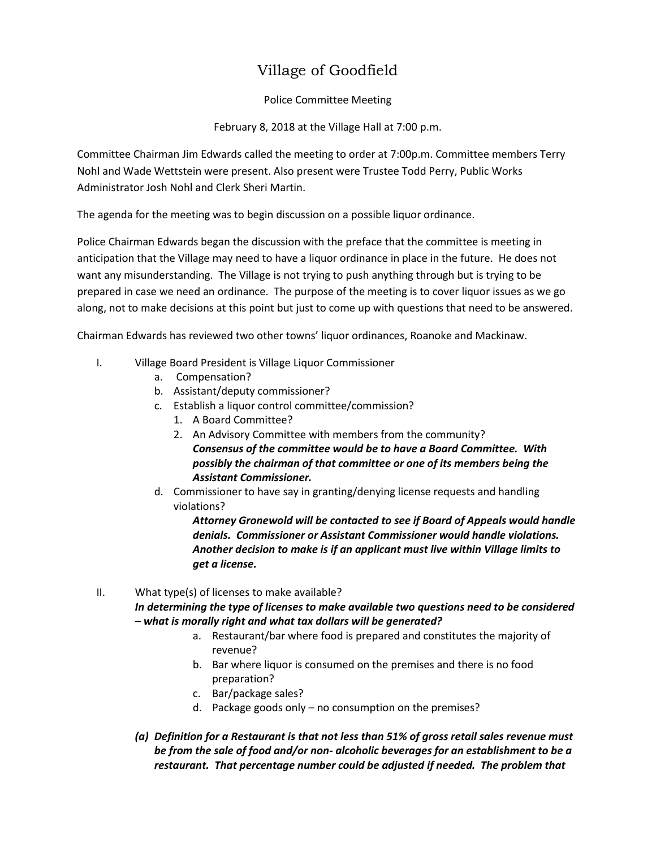## Village of Goodfield

## Police Committee Meeting

February 8, 2018 at the Village Hall at 7:00 p.m.

Committee Chairman Jim Edwards called the meeting to order at 7:00p.m. Committee members Terry Nohl and Wade Wettstein were present. Also present were Trustee Todd Perry, Public Works Administrator Josh Nohl and Clerk Sheri Martin.

The agenda for the meeting was to begin discussion on a possible liquor ordinance.

Police Chairman Edwards began the discussion with the preface that the committee is meeting in anticipation that the Village may need to have a liquor ordinance in place in the future. He does not want any misunderstanding. The Village is not trying to push anything through but is trying to be prepared in case we need an ordinance. The purpose of the meeting is to cover liquor issues as we go along, not to make decisions at this point but just to come up with questions that need to be answered.

Chairman Edwards has reviewed two other towns' liquor ordinances, Roanoke and Mackinaw.

- I. Village Board President is Village Liquor Commissioner
	- a. Compensation?
	- b. Assistant/deputy commissioner?
	- c. Establish a liquor control committee/commission?
		- 1. A Board Committee?
		- 2. An Advisory Committee with members from the community? *Consensus of the committee would be to have a Board Committee. With possibly the chairman of that committee or one of its members being the Assistant Commissioner.*
	- d. Commissioner to have say in granting/denying license requests and handling violations?

*Attorney Gronewold will be contacted to see if Board of Appeals would handle denials. Commissioner or Assistant Commissioner would handle violations. Another decision to make is if an applicant must live within Village limits to get a license.* 

## II. What type(s) of licenses to make available? *In determining the type of licenses to make available two questions need to be considered – what is morally right and what tax dollars will be generated?*

- a. Restaurant/bar where food is prepared and constitutes the majority of revenue?
- b. Bar where liquor is consumed on the premises and there is no food preparation?
- c. Bar/package sales?
- d. Package goods only no consumption on the premises?
- *(a) Definition for a Restaurant is that not less than 51% of gross retail sales revenue must be from the sale of food and/or non- alcoholic beverages for an establishment to be a restaurant. That percentage number could be adjusted if needed. The problem that*